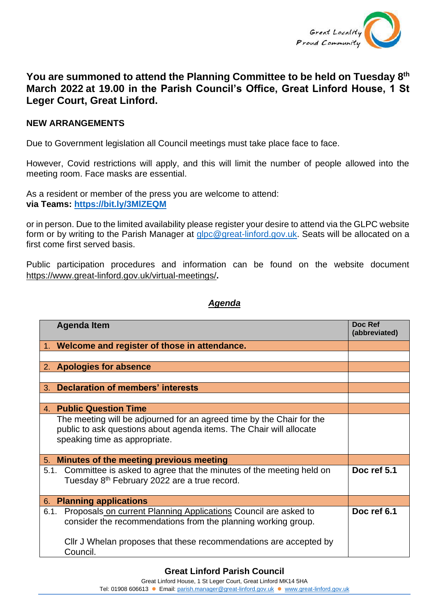

## **You are summoned to attend the Planning Committee to be held on Tuesday 8 th March 2022 at 19.00 in the Parish Council's Office, Great Linford House, 1 St Leger Court, Great Linford.**

## **NEW ARRANGEMENTS**

Due to Government legislation all Council meetings must take place face to face.

However, Covid restrictions will apply, and this will limit the number of people allowed into the meeting room. Face masks are essential.

As a resident or member of the press you are welcome to attend: **via Teams:<https://bit.ly/3MlZEQM>**

or in person. Due to the limited availability please register your desire to attend via the GLPC website form or by writing to the Parish Manager at [glpc@great-linford.gov.uk.](mailto:glpc@great-linford.gov.uk) Seats will be allocated on a first come first served basis.

Public participation procedures and information can be found on the website document <https://www.great-linford.gov.uk/virtual-meetings/>**.**

## *Agenda*

| <b>Agenda Item</b>                                                                                                                                                            | Doc Ref<br>(abbreviated) |
|-------------------------------------------------------------------------------------------------------------------------------------------------------------------------------|--------------------------|
| 1. Welcome and register of those in attendance.                                                                                                                               |                          |
|                                                                                                                                                                               |                          |
| 2. Apologies for absence                                                                                                                                                      |                          |
|                                                                                                                                                                               |                          |
| <b>Declaration of members' interests</b><br>3.                                                                                                                                |                          |
|                                                                                                                                                                               |                          |
| 4. Public Question Time                                                                                                                                                       |                          |
| The meeting will be adjourned for an agreed time by the Chair for the<br>public to ask questions about agenda items. The Chair will allocate<br>speaking time as appropriate. |                          |
| Minutes of the meeting previous meeting<br>5.                                                                                                                                 |                          |
| 5.1. Committee is asked to agree that the minutes of the meeting held on<br>Tuesday 8 <sup>th</sup> February 2022 are a true record.                                          | Doc ref 5.1              |
| <b>Planning applications</b><br>6.                                                                                                                                            |                          |
| Proposals on current Planning Applications Council are asked to<br>6.1.<br>consider the recommendations from the planning working group.                                      | Doc ref 6.1              |
| Cllr J Whelan proposes that these recommendations are accepted by<br>Council.                                                                                                 |                          |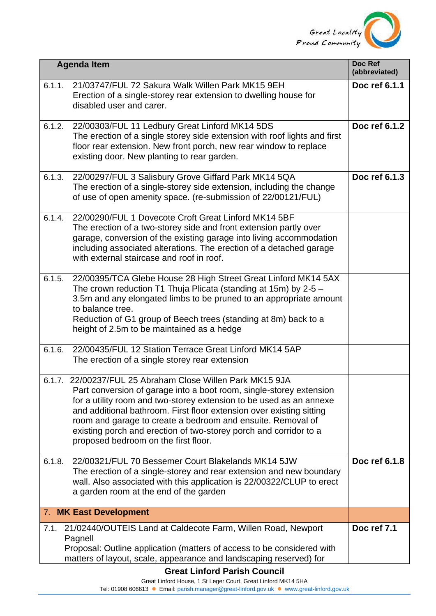

|        | <b>Agenda Item</b>                                                                                                                                                                                                                                                                                                                                                                                                                                          | Doc Ref<br>(abbreviated) |
|--------|-------------------------------------------------------------------------------------------------------------------------------------------------------------------------------------------------------------------------------------------------------------------------------------------------------------------------------------------------------------------------------------------------------------------------------------------------------------|--------------------------|
| 6.1.1. | 21/03747/FUL 72 Sakura Walk Willen Park MK15 9EH<br>Erection of a single-storey rear extension to dwelling house for<br>disabled user and carer.                                                                                                                                                                                                                                                                                                            | Doc ref 6.1.1            |
| 6.1.2. | 22/00303/FUL 11 Ledbury Great Linford MK14 5DS<br>The erection of a single storey side extension with roof lights and first<br>floor rear extension. New front porch, new rear window to replace<br>existing door. New planting to rear garden.                                                                                                                                                                                                             | Doc ref 6.1.2            |
| 6.1.3. | 22/00297/FUL 3 Salisbury Grove Giffard Park MK14 5QA<br>The erection of a single-storey side extension, including the change<br>of use of open amenity space. (re-submission of 22/00121/FUL)                                                                                                                                                                                                                                                               | Doc ref 6.1.3            |
| 6.1.4. | 22/00290/FUL 1 Dovecote Croft Great Linford MK14 5BF<br>The erection of a two-storey side and front extension partly over<br>garage, conversion of the existing garage into living accommodation<br>including associated alterations. The erection of a detached garage<br>with external staircase and roof in roof.                                                                                                                                        |                          |
| 6.1.5. | 22/00395/TCA Glebe House 28 High Street Great Linford MK14 5AX<br>The crown reduction T1 Thuja Plicata (standing at 15m) by $2-5$ -<br>3.5m and any elongated limbs to be pruned to an appropriate amount<br>to balance tree.<br>Reduction of G1 group of Beech trees (standing at 8m) back to a<br>height of 2.5m to be maintained as a hedge                                                                                                              |                          |
| 6.1.6. | 22/00435/FUL 12 Station Terrace Great Linford MK14 5AP<br>The erection of a single storey rear extension                                                                                                                                                                                                                                                                                                                                                    |                          |
|        | 6.1.7. 22/00237/FUL 25 Abraham Close Willen Park MK15 9JA<br>Part conversion of garage into a boot room, single-storey extension<br>for a utility room and two-storey extension to be used as an annexe<br>and additional bathroom. First floor extension over existing sitting<br>room and garage to create a bedroom and ensuite. Removal of<br>existing porch and erection of two-storey porch and corridor to a<br>proposed bedroom on the first floor. |                          |
| 6.1.8. | 22/00321/FUL 70 Bessemer Court Blakelands MK14 5JW<br>The erection of a single-storey and rear extension and new boundary<br>wall. Also associated with this application is 22/00322/CLUP to erect<br>a garden room at the end of the garden                                                                                                                                                                                                                | Doc ref 6.1.8            |
|        | 7. MK East Development                                                                                                                                                                                                                                                                                                                                                                                                                                      |                          |
| 7.1.   | 21/02440/OUTEIS Land at Caldecote Farm, Willen Road, Newport<br>Pagnell<br>Proposal: Outline application (matters of access to be considered with<br>matters of layout, scale, appearance and landscaping reserved) for                                                                                                                                                                                                                                     | Doc ref 7.1              |

## **Great Linford Parish Council**

Great Linford House, 1 St Leger Court, Great Linford MK14 5HA

Tel: 01908 606613 ⚫ Email: [parish.manager@great-linford.gov.uk](mailto:parish.manager@great-linford.gov.uk) ⚫ [www.great-linford.gov.uk](http://www.great-linford.gov.uk/)